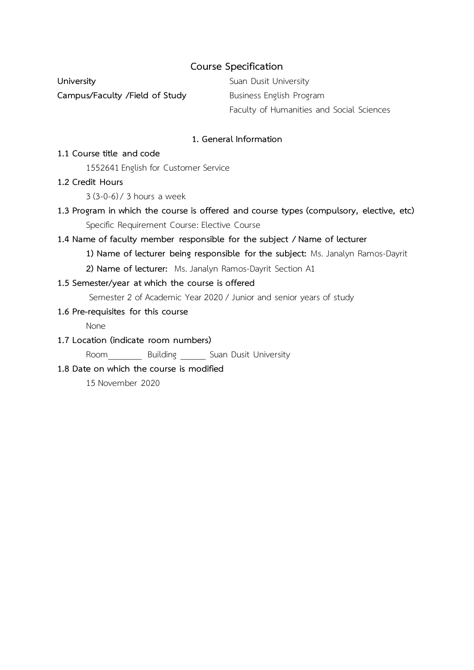## **Course Specification**

**University Suan Dusit University Campus/Faculty /Field of Study** Business English Program

Faculty of Humanities and Social Sciences

## **1. General Information**

#### **1.1 Course title and code**

1552641 English for Customer Service

## **1.2 Credit Hours**

3 (3-0-6) / 3 hours a week

**1.3 Program in which the course is offered and course types (compulsory, elective, etc)** Specific Requirement Course: Elective Course

## **1.4 Name of faculty member responsible for the subject / Name of lecturer**

- **1) Name of lecturer being responsible for the subject:** Ms. Janalyn Ramos-Dayrit
- **2) Name of lecturer:** Ms. Janalyn Ramos-Dayrit Section A1

## **1.5 Semester/year at which the course is offered**

Semester 2 of Academic Year 2020 / Junior and senior years of study

# **1.6 Pre-requisites for this course**

None

**1.7 Location (indicate room numbers)**

Room Building Suan Dusit University

#### **1.8 Date on which the course is modified**

15 November 2020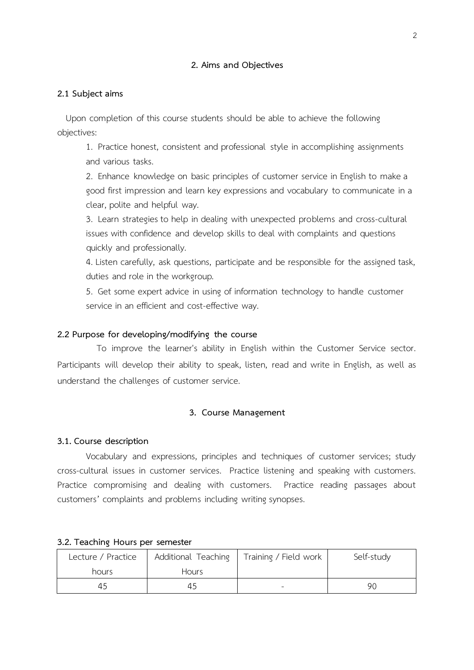#### **2. Aims and Objectives**

#### **2.1 Subject aims**

 Upon completion of this course students should be able to achieve the following objectives:

1. Practice honest, consistent and professional style in accomplishing assignments and various tasks.

2. Enhance knowledge on basic principles of customer service in English to make a good first impression and learn key expressions and vocabulary to communicate in a clear, polite and helpful way.

3. Learn strategies to help in dealing with unexpected problems and cross-cultural issues with confidence and develop skills to deal with complaints and questions quickly and professionally.

4. Listen carefully, ask questions, participate and be responsible for the assigned task, duties and role in the workgroup.

5. Get some expert advice in using of information technology to handle customer service in an efficient and cost-effective way.

#### **2.2 Purpose for developing/modifying the course**

 To improve the learner's ability in English within the Customer Service sector. Participants will develop their ability to speak, listen, read and write in English, as well as understand the challenges of customer service.

#### **3. Course Management**

#### **3.1. Course description**

Vocabulary and expressions, principles and techniques of customer services; study cross-cultural issues in customer services. Practice listening and speaking with customers. Practice compromising and dealing with customers. Practice reading passages about customers' complaints and problems including writing synopses.

| Lecture / Practice | Additional Teaching | Training / Field work | Self-study |
|--------------------|---------------------|-----------------------|------------|
| hours              | <b>Hours</b>        |                       |            |
| 45                 | 45                  |                       | 90         |

#### **3.2. Teaching Hours per semester**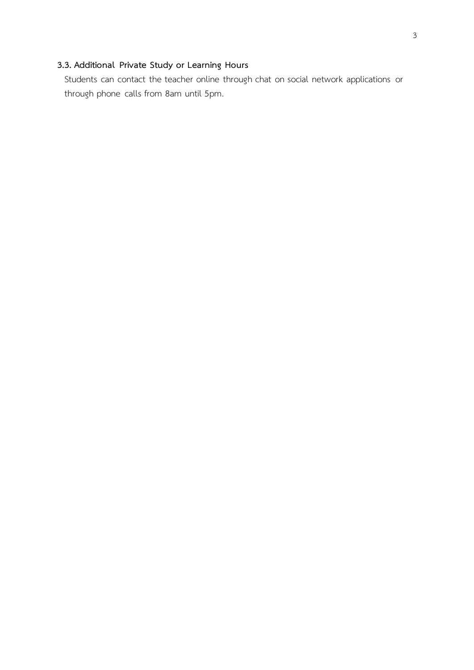# **3.3. Additional Private Study or Learning Hours**

Students can contact the teacher online through chat on social network applications or through phone calls from 8am until 5pm.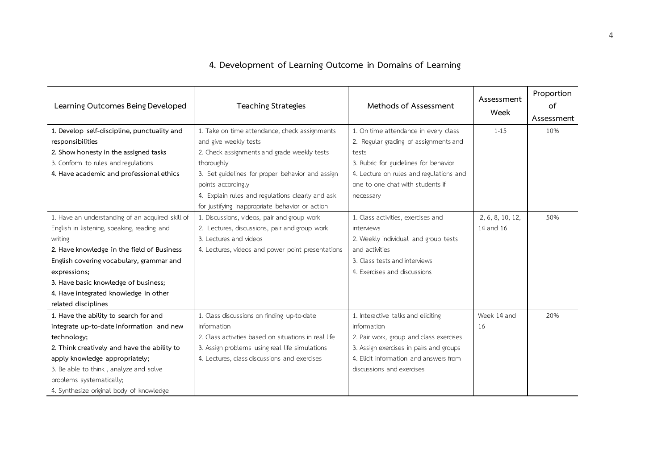| Learning Outcomes Being Developed                | <b>Teaching Strategies</b>                           | Methods of Assessment                   | Assessment<br>Week | Proportion<br>of<br>Assessment |
|--------------------------------------------------|------------------------------------------------------|-----------------------------------------|--------------------|--------------------------------|
| 1. Develop self-discipline, punctuality and      | 1. Take on time attendance, check assignments        | 1. On time attendance in every class    | $1 - 15$           | 10%                            |
| responsibilities                                 | and give weekly tests                                | 2. Regular grading of assignments and   |                    |                                |
| 2. Show honesty in the assigned tasks            | 2. Check assignments and grade weekly tests          | tests                                   |                    |                                |
| 3. Conform to rules and regulations              | thoroughly                                           | 3. Rubric for guidelines for behavior   |                    |                                |
| 4. Have academic and professional ethics         | 3. Set guidelines for proper behavior and assign     | 4. Lecture on rules and regulations and |                    |                                |
|                                                  | points accordingly                                   | one to one chat with students if        |                    |                                |
|                                                  | 4. Explain rules and regulations clearly and ask     | necessary                               |                    |                                |
|                                                  | for justifying inappropriate behavior or action      |                                         |                    |                                |
| 1. Have an understanding of an acquired skill of | 1. Discussions, videos, pair and group work          | 1. Class activities, exercises and      | 2, 6, 8, 10, 12,   | 50%                            |
| English in listening, speaking, reading and      | 2. Lectures, discussions, pair and group work        | interviews                              | 14 and 16          |                                |
| writing                                          | 3. Lectures and videos                               | 2. Weekly individual and group tests    |                    |                                |
| 2. Have knowledge in the field of Business       | 4. Lectures, videos and power point presentations    | and activities                          |                    |                                |
| English covering vocabulary, grammar and         |                                                      | 3. Class tests and interviews           |                    |                                |
| expressions;                                     |                                                      | 4. Exercises and discussions            |                    |                                |
| 3. Have basic knowledge of business;             |                                                      |                                         |                    |                                |
| 4. Have integrated knowledge in other            |                                                      |                                         |                    |                                |
| related disciplines                              |                                                      |                                         |                    |                                |
| 1. Have the ability to search for and            | 1. Class discussions on finding up-to-date           | 1. Interactive talks and eliciting      | Week 14 and        | 20%                            |
| integrate up-to-date information and new         | information                                          | information                             | 16                 |                                |
| technology;                                      | 2. Class activities based on situations in real life | 2. Pair work, group and class exercises |                    |                                |
| 2. Think creatively and have the ability to      | 3. Assign problems using real life simulations       | 3. Assign exercises in pairs and groups |                    |                                |
| apply knowledge appropriately;                   | 4. Lectures, class discussions and exercises         | 4. Elicit information and answers from  |                    |                                |
| 3. Be able to think, analyze and solve           |                                                      | discussions and exercises               |                    |                                |
| problems systematically;                         |                                                      |                                         |                    |                                |
| 4. Synthesize original body of knowledge         |                                                      |                                         |                    |                                |

# **4. Development of Learning Outcome in Domains of Learning**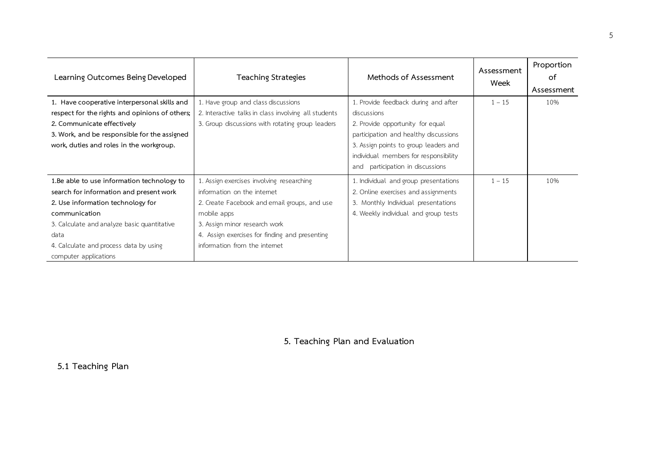| Learning Outcomes Being Developed              | <b>Teaching Strategies</b>                           | Methods of Assessment                 | Assessment<br>Week | Proportion<br>of<br>Assessment |
|------------------------------------------------|------------------------------------------------------|---------------------------------------|--------------------|--------------------------------|
| 1. Have cooperative interpersonal skills and   | 1. Have group and class discussions                  | 1. Provide feedback during and after  | $1 - 15$           | 10%                            |
| respect for the rights and opinions of others; | 2. Interactive talks in class involving all students | discussions                           |                    |                                |
| 2. Communicate effectively                     | 3. Group discussions with rotating group leaders     | 2. Provide opportunity for equal      |                    |                                |
| 3. Work, and be responsible for the assigned   |                                                      | participation and healthy discussions |                    |                                |
| work, duties and roles in the workgroup.       |                                                      | 3. Assign points to group leaders and |                    |                                |
|                                                |                                                      | individual members for responsibility |                    |                                |
|                                                |                                                      | participation in discussions<br>and   |                    |                                |
| 1. Be able to use information technology to    | 1. Assign exercises involving researching            | 1. Individual and group presentations | $1 - 15$           | 10%                            |
| search for information and present work        | information on the internet                          | 2. Online exercises and assignments   |                    |                                |
| 2. Use information technology for              | 2. Create Facebook and email groups, and use         | 3. Monthly Individual presentations   |                    |                                |
| communication                                  | mobile apps                                          | 4. Weekly individual and group tests  |                    |                                |
| 3. Calculate and analyze basic quantitative    | 3. Assign minor research work                        |                                       |                    |                                |
| data                                           | 4. Assign exercises for finding and presenting       |                                       |                    |                                |
| 4. Calculate and process data by using         | information from the internet                        |                                       |                    |                                |
| computer applications                          |                                                      |                                       |                    |                                |

**5. Teaching Plan and Evaluation**

**5.1 Teaching Plan**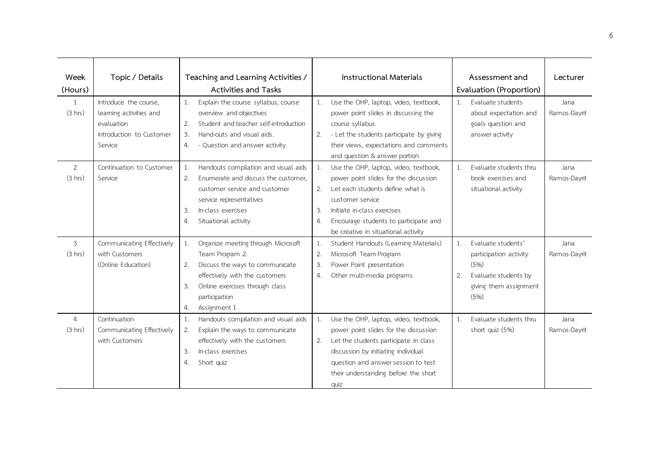| Week<br>(Hours) | Topic / Details           | Teaching and Learning Activities /<br>Activities and Tasks |                                       | <b>Instructional Materials</b> |                                          | Assessment and<br>Evaluation (Proportion) |                        | Lecturer     |
|-----------------|---------------------------|------------------------------------------------------------|---------------------------------------|--------------------------------|------------------------------------------|-------------------------------------------|------------------------|--------------|
| $\mathbf{1}$    | Introduce the course,     | 1.                                                         | Explain the course syllabus, course   | 1.                             | Use the OHP, laptop, video, textbook,    | 1.                                        | Evaluate students      | Jana         |
| (3 hrs)         | learning activities and   |                                                            | overview and objectives               |                                | power point slides in discussing the     |                                           | about expectation and  | Ramos-Dayrit |
|                 | evaluation                | 2.                                                         | Student and teacher self-introduction |                                | course syllabus                          |                                           | goals question and     |              |
|                 | Introduction to Customer  | 3.                                                         | Hand-outs and visual aids.            | 2.                             | - Let the students participate by giving |                                           | answer activity        |              |
|                 | Service                   | 4.                                                         | - Question and answer activity        |                                | their views, expectations and comments   |                                           |                        |              |
|                 |                           |                                                            |                                       |                                | and question & answer portion            |                                           |                        |              |
| 2               | Continuation to Customer  | 1.                                                         | Handouts compilation and visual aids  | 1.                             | Use the OHP, laptop, video, textbook,    | 1.                                        | Evaluate students thru | Jana         |
| (3 hrs)         | Service                   | 2.                                                         | Enumerate and discuss the customer,   |                                | power point slides for the discussion    |                                           | book exercises and     | Ramos-Dayrit |
|                 |                           |                                                            | customer service and customer         | 2.                             | Let each students define what is         |                                           | situational activity   |              |
|                 |                           |                                                            | service representatives               |                                | customer service                         |                                           |                        |              |
|                 |                           | 3.                                                         | In-class exercises                    | 3.                             | Initiate in-class exercises              |                                           |                        |              |
|                 |                           | 4.                                                         | Situational activity                  | 4.                             | Encourage students to participate and    |                                           |                        |              |
|                 |                           |                                                            |                                       |                                | be creative in situational activity      |                                           |                        |              |
| 3               | Communicating Effectively | 1.                                                         | Organize meeting through Microsoft    | 1.                             | Student Handouts (Learning Materials)    | 1 <sup>1</sup>                            | Evaluate students'     | Jana         |
| (3 hrs)         | with Customers            |                                                            | Team Program 2.                       | 2.                             | Microsoft Team Program                   |                                           | participation activity | Ramos-Dayrit |
|                 | (Online Education)        | 2.                                                         | Discuss the ways to communicate       | 3.                             | Power Point presentation                 |                                           | (5%)                   |              |
|                 |                           |                                                            | effectively with the customers        | 4.                             | Other multi-media programs               | 2.                                        | Evaluate students by   |              |
|                 |                           | 3.                                                         | Online exercises through class        |                                |                                          |                                           | giving them assignment |              |
|                 |                           |                                                            | participation                         |                                |                                          |                                           | (5%)                   |              |
|                 |                           | 4.                                                         | Assignment 1                          |                                |                                          |                                           |                        |              |
| $\overline{4}$  | Continuation              | 1.                                                         | Handouts compilation and visual aids  | 1.                             | Use the OHP, laptop, video, textbook,    | 1.                                        | Evaluate students thru | Jana         |
| (3 hrs)         | Communicating Effectively | 2.                                                         | Explain the ways to communicate       |                                | power point slides for the discussion    |                                           | short quiz (5%)        | Ramos-Dayrit |
|                 | with Customers            |                                                            | effectively with the customers        | 2.                             | Let the students participate in class    |                                           |                        |              |
|                 |                           | 3.                                                         | In-class exercises                    |                                | discussion by initiating individual      |                                           |                        |              |
|                 |                           | 4.                                                         | Short quiz                            |                                | question and answer session to test      |                                           |                        |              |
|                 |                           |                                                            |                                       |                                | their understanding before the short     |                                           |                        |              |
|                 |                           |                                                            |                                       |                                | quiz                                     |                                           |                        |              |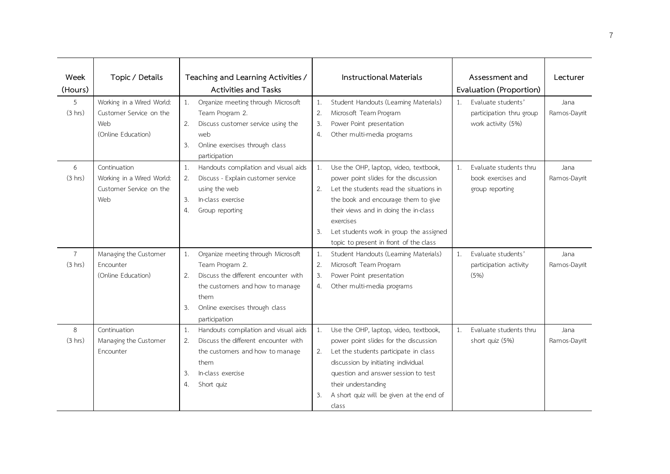| Week           | Topic / Details           |    | Teaching and Learning Activities /   |                  | <b>Instructional Materials</b>           |    | Assessment and           | Lecturer     |
|----------------|---------------------------|----|--------------------------------------|------------------|------------------------------------------|----|--------------------------|--------------|
| (Hours)        |                           |    | <b>Activities and Tasks</b>          |                  |                                          |    | Evaluation (Proportion)  |              |
| 5              | Working in a Wired World: | 1. | Organize meeting through Microsoft   | 1.               | Student Handouts (Learning Materials)    | 1. | Evaluate students'       | Jana         |
| (3 hrs)        | Customer Service on the   |    | Team Program 2.                      | 2.               | Microsoft Team Program                   |    | participation thru group | Ramos-Dayrit |
|                | Web                       | 2. | Discuss customer service using the   | 3.               | Power Point presentation                 |    | work activity (5%)       |              |
|                | (Online Education)        |    | web                                  | $\overline{4}$ . | Other multi-media programs               |    |                          |              |
|                |                           | 3. | Online exercises through class       |                  |                                          |    |                          |              |
|                |                           |    | participation                        |                  |                                          |    |                          |              |
| 6              | Continuation              | 1. | Handouts compilation and visual aids | 1.               | Use the OHP, laptop, video, textbook,    | 1. | Evaluate students thru   | Jana         |
| (3 hrs)        | Working in a Wired World: | 2. | Discuss - Explain customer service   |                  | power point slides for the discussion    |    | book exercises and       | Ramos-Dayrit |
|                | Customer Service on the   |    | using the web                        | 2.               | Let the students read the situations in  |    | group reporting          |              |
|                | Web                       | 3. | In-class exercise                    |                  | the book and encourage them to give      |    |                          |              |
|                |                           | 4. | Group reporting                      |                  | their views and in doing the in-class    |    |                          |              |
|                |                           |    |                                      |                  | exercises                                |    |                          |              |
|                |                           |    |                                      | 3.               | Let students work in group the assigned  |    |                          |              |
|                |                           |    |                                      |                  | topic to present in front of the class   |    |                          |              |
| $\overline{7}$ | Managing the Customer     | 1. | Organize meeting through Microsoft   | 1.               | Student Handouts (Learning Materials)    | 1. | Evaluate students'       | Jana         |
| (3 hrs)        | Encounter                 |    | Team Program 2.                      | 2.               | Microsoft Team Program                   |    | participation activity   | Ramos-Dayrit |
|                | (Online Education)        | 2. | Discuss the different encounter with | 3.               | Power Point presentation                 |    | (5%)                     |              |
|                |                           |    | the customers and how to manage      | 4.               | Other multi-media programs               |    |                          |              |
|                |                           |    | them                                 |                  |                                          |    |                          |              |
|                |                           | 3. | Online exercises through class       |                  |                                          |    |                          |              |
|                |                           |    | participation                        |                  |                                          |    |                          |              |
| 8              | Continuation              | 1. | Handouts compilation and visual aids | 1.               | Use the OHP, laptop, video, textbook,    | 1. | Evaluate students thru   | Jana         |
| (3 hrs)        | Managing the Customer     | 2. | Discuss the different encounter with |                  | power point slides for the discussion    |    | short quiz (5%)          | Ramos-Dayrit |
|                | Encounter                 |    | the customers and how to manage      | 2.               | Let the students participate in class    |    |                          |              |
|                |                           |    | them                                 |                  | discussion by initiating individual      |    |                          |              |
|                |                           | 3. | In-class exercise                    |                  | question and answer session to test      |    |                          |              |
|                |                           | 4. | Short quiz                           |                  | their understanding                      |    |                          |              |
|                |                           |    |                                      | 3.               | A short quiz will be given at the end of |    |                          |              |
|                |                           |    |                                      |                  | class                                    |    |                          |              |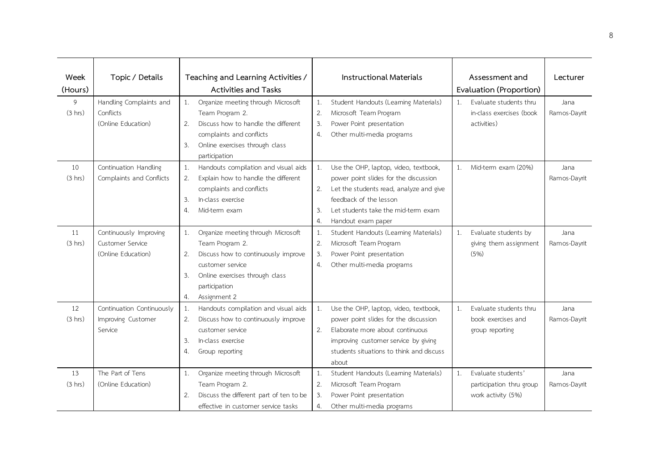| Week<br>(Hours) | Topic / Details                                                  | Teaching and Learning Activities /<br>Activities and Tasks                                                                                                                                                  | <b>Instructional Materials</b>                                                                                                                                                                                                           | Assessment and<br>Evaluation (Proportion)                                  | Lecturer             |
|-----------------|------------------------------------------------------------------|-------------------------------------------------------------------------------------------------------------------------------------------------------------------------------------------------------------|------------------------------------------------------------------------------------------------------------------------------------------------------------------------------------------------------------------------------------------|----------------------------------------------------------------------------|----------------------|
| 9<br>(3 hrs)    | Handling Complaints and<br>Conflicts<br>(Online Education)       | Organize meeting through Microsoft<br>1.<br>Team Program 2.<br>Discuss how to handle the different<br>2.<br>complaints and conflicts<br>Online exercises through class<br>3.<br>participation               | Student Handouts (Learning Materials)<br>1.<br>2.<br>Microsoft Team Program<br>Power Point presentation<br>3.<br>Other multi-media programs<br>4.                                                                                        | Evaluate students thru<br>1.<br>in-class exercises (book<br>activities)    | Jana<br>Ramos-Dayrit |
| 10<br>(3 hrs)   | Continuation Handling<br>Complaints and Conflicts                | Handouts compilation and visual aids<br>1.<br>Explain how to handle the different<br>2.<br>complaints and conflicts<br>In-class exercise<br>3.<br>Mid-term exam<br>4.                                       | 1.<br>Use the OHP, laptop, video, textbook,<br>power point slides for the discussion<br>2.<br>Let the students read, analyze and give<br>feedback of the lesson<br>Let students take the mid-term exam<br>3.<br>4.<br>Handout exam paper | Mid-term exam (20%)<br>1.                                                  | Jana<br>Ramos-Dayrit |
| 11<br>(3 hrs)   | Continuously Improving<br>Customer Service<br>(Online Education) | Organize meeting through Microsoft<br>1.<br>Team Program 2.<br>Discuss how to continuously improve<br>2.<br>customer service<br>Online exercises through class<br>3.<br>participation<br>Assignment 2<br>4. | Student Handouts (Learning Materials)<br>1.<br>2.<br>Microsoft Team Program<br>Power Point presentation<br>3.<br>Other multi-media programs<br>4.                                                                                        | Evaluate students by<br>1.<br>giving them assignment<br>(5%)               | Jana<br>Ramos-Dayrit |
| 12<br>(3 hrs)   | Continuation Continuously<br>Improving Customer<br>Service       | Handouts compilation and visual aids<br>1.<br>Discuss how to continuously improve<br>2.<br>customer service<br>3.<br>In-class exercise<br>4.<br>Group reporting                                             | Use the OHP, laptop, video, textbook,<br>1.<br>power point slides for the discussion<br>2.<br>Elaborate more about continuous<br>improving customer service by giving<br>students situations to think and discuss<br>about               | Evaluate students thru<br>1.<br>book exercises and<br>group reporting      | Jana<br>Ramos-Dayrit |
| 13<br>(3 hrs)   | The Part of Tens<br>(Online Education)                           | Organize meeting through Microsoft<br>1.<br>Team Program 2.<br>Discuss the different part of ten to be<br>2.<br>effective in customer service tasks                                                         | Student Handouts (Learning Materials)<br>1.<br>2.<br>Microsoft Team Program<br>Power Point presentation<br>3.<br>Other multi-media programs<br>4.                                                                                        | Evaluate students'<br>1.<br>participation thru group<br>work activity (5%) | Jana<br>Ramos-Dayrit |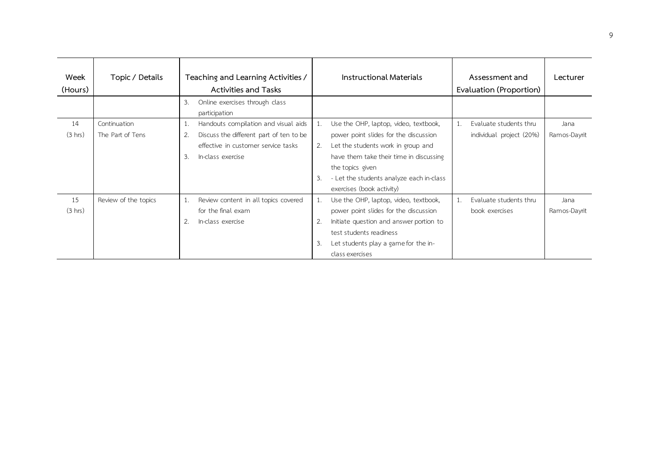| Week<br>(Hours) | Topic / Details      | Teaching and Learning Activities /<br><b>Activities and Tasks</b> |                                         |    | Instructional Materials                  |    | Assessment and<br>Evaluation (Proportion) | Lecturer     |
|-----------------|----------------------|-------------------------------------------------------------------|-----------------------------------------|----|------------------------------------------|----|-------------------------------------------|--------------|
|                 |                      | 3.                                                                | Online exercises through class          |    |                                          |    |                                           |              |
|                 |                      |                                                                   | participation                           |    |                                          |    |                                           |              |
| 14              | Continuation         | 1.                                                                | Handouts compilation and visual aids    | 1. | Use the OHP, laptop, video, textbook,    | 1. | Evaluate students thru                    | Jana         |
| (3 hrs)         | The Part of Tens     | 2.                                                                | Discuss the different part of ten to be |    | power point slides for the discussion    |    | individual project (20%)                  | Ramos-Dayrit |
|                 |                      |                                                                   | effective in customer service tasks     | 2. | Let the students work in group and       |    |                                           |              |
|                 |                      | $\mathbf{3}$ .                                                    | In-class exercise                       |    | have them take their time in discussing  |    |                                           |              |
|                 |                      |                                                                   |                                         |    | the topics given                         |    |                                           |              |
|                 |                      |                                                                   |                                         | 3. | - Let the students analyze each in-class |    |                                           |              |
|                 |                      |                                                                   |                                         |    | exercises (book activity)                |    |                                           |              |
| 15              | Review of the topics | 1.                                                                | Review content in all topics covered    | 1. | Use the OHP, laptop, video, textbook,    | 1. | Evaluate students thru                    | Jana         |
| (3 hrs)         |                      |                                                                   | for the final exam                      |    | power point slides for the discussion    |    | book exercises                            | Ramos-Dayrit |
|                 |                      | 2.                                                                | In-class exercise                       | 2. | Initiate question and answer portion to  |    |                                           |              |
|                 |                      |                                                                   |                                         |    | test students readiness                  |    |                                           |              |
|                 |                      |                                                                   |                                         | 3. | Let students play a game for the in-     |    |                                           |              |
|                 |                      |                                                                   |                                         |    | class exercises                          |    |                                           |              |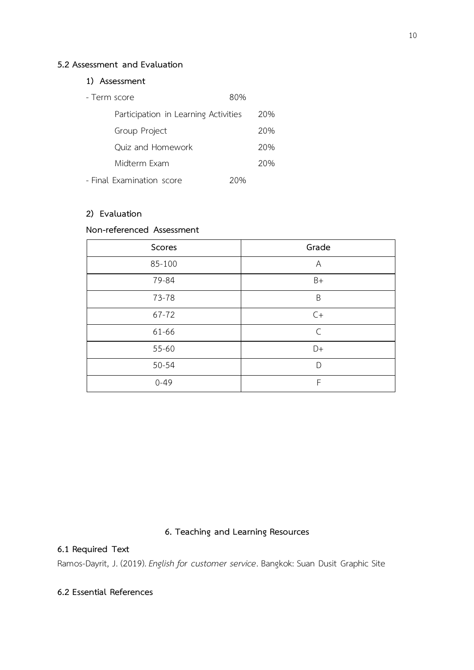#### **5.2 Assessment and Evaluation**

## **1) Assessment**

| - Term score                         | 80% |     |
|--------------------------------------|-----|-----|
| Participation in Learning Activities |     | 20% |
| Group Project                        |     | 20% |
| Quiz and Homework                    |     | 20% |
| Midterm Exam                         |     | 20% |
| - Final Examination score            | 20% |     |

## **2) Evaluation**

# **Non-referenced Assessment**

| Scores    | Grade        |
|-----------|--------------|
| 85-100    | Α            |
| 79-84     | $B+$         |
| 73-78     | B            |
| $67 - 72$ | $C+$         |
| 61-66     | $\mathsf{C}$ |
| $55 - 60$ | D+           |
| $50 - 54$ | D            |
| $0 - 49$  | F            |

# **6. Teaching and Learning Resources**

#### **6.1 Required Text**

Ramos-Dayrit, J. (2019). *English for customer service*. Bangkok: Suan Dusit Graphic Site

## **6.2 Essential References**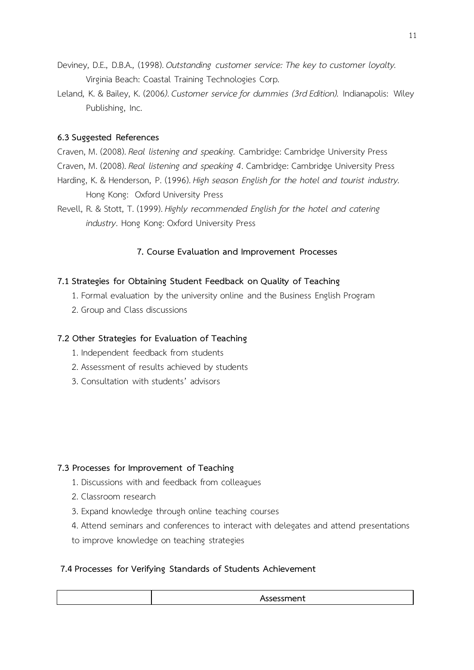- Deviney, D.E., D.B.A., (1998). *Outstanding customer service: The key to customer loyalty.* Virginia Beach: Coastal Training Technologies Corp.
- Leland, K. & Bailey, K. (2006*)*. *Customer service for dummies (3rd Edition).* Indianapolis: Wiley Publishing, Inc.

## **6.3 Suggested References**

Craven, M. (2008).*Real listening and speaking.* Cambridge: Cambridge University Press

- Craven, M. (2008).*Real listening and speaking 4*. Cambridge: Cambridge University Press
- Harding, K. & Henderson, P. (1996). *High season English for the hotel and tourist industry.*  Hong Kong: Oxford University Press
- Revell, R. & Stott, T. (1999). *Highly recommended English for the hotel and catering industry*. Hong Kong: Oxford University Press

# **7. Course Evaluation and Improvement Processes**

# **7.1 Strategies for Obtaining Student Feedback on Quality of Teaching**

- 1. Formal evaluation by the university online and the Business English Program
- 2. Group and Class discussions

# **7.2 Other Strategies for Evaluation of Teaching**

- 1. Independent feedback from students
- 2. Assessment of results achieved by students
- 3. Consultation with students' advisors

# **7.3 Processes for Improvement of Teaching**

- 1. Discussions with and feedback from colleagues
- 2. Classroom research
- 3. Expand knowledge through online teaching courses
- 4. Attend seminars and conferences to interact with delegates and attend presentations
- to improve knowledge on teaching strategies

# **7.4 Processes for Verifying Standards of Students Achievement**

| ווי⊫ו<br>. |
|------------|
|            |